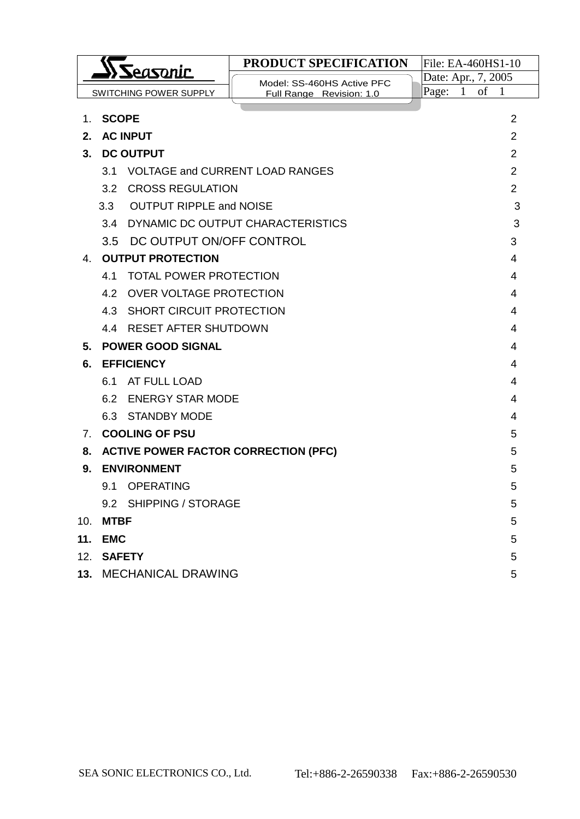| Seasonic |                                                  |                                        | PRODUCT SPECIFICATION             | File: EA-460HS1-10  |                |  |
|----------|--------------------------------------------------|----------------------------------------|-----------------------------------|---------------------|----------------|--|
|          |                                                  |                                        | Model: SS-460HS Active PFC        | Date: Apr., 7, 2005 |                |  |
|          |                                                  | <b>SWITCHING POWER SUPPLY</b>          | Full Range Revision: 1.0          | Page:<br>of<br>1    | $\mathbf{1}$   |  |
| 1.       | <b>SCOPE</b>                                     |                                        |                                   |                     | $\overline{2}$ |  |
| 2.       |                                                  | <b>AC INPUT</b>                        |                                   |                     | $\overline{2}$ |  |
| 3.       |                                                  | <b>DC OUTPUT</b>                       |                                   |                     | $\overline{2}$ |  |
|          | 3.1                                              | <b>VOLTAGE and CURRENT LOAD RANGES</b> |                                   |                     | $\overline{2}$ |  |
|          | 3.2                                              | <b>CROSS REGULATION</b>                |                                   |                     | $\overline{2}$ |  |
|          | 3.3                                              | <b>OUTPUT RIPPLE and NOISE</b>         |                                   |                     | 3              |  |
|          | 3.4                                              |                                        | DYNAMIC DC OUTPUT CHARACTERISTICS |                     | 3              |  |
|          | 3.5                                              | DC OUTPUT ON/OFF CONTROL               |                                   |                     | 3              |  |
| 4.       |                                                  | <b>OUTPUT PROTECTION</b>               |                                   |                     | 4              |  |
|          | 4.1                                              | <b>TOTAL POWER PROTECTION</b>          |                                   |                     | 4              |  |
|          |                                                  | 4.2 OVER VOLTAGE PROTECTION<br>4       |                                   |                     |                |  |
|          |                                                  | 4.3 SHORT CIRCUIT PROTECTION<br>4      |                                   |                     |                |  |
|          | 4.4 RESET AFTER SHUTDOWN<br>4                    |                                        |                                   |                     |                |  |
| 5.       | <b>POWER GOOD SIGNAL</b><br>4                    |                                        |                                   |                     |                |  |
| 6.       | <b>EFFICIENCY</b><br>4                           |                                        |                                   |                     |                |  |
|          | 6.1<br>AT FULL LOAD<br>4                         |                                        |                                   |                     |                |  |
|          |                                                  | 6.2 ENERGY STAR MODE                   |                                   |                     | 4              |  |
|          |                                                  | 6.3 STANDBY MODE                       |                                   |                     | 4              |  |
| 7.       | <b>COOLING OF PSU</b><br>5                       |                                        |                                   |                     |                |  |
| 8.       | <b>ACTIVE POWER FACTOR CORRECTION (PFC)</b><br>5 |                                        |                                   |                     |                |  |
| 9.       |                                                  | <b>ENVIRONMENT</b>                     |                                   |                     | 5              |  |
|          | 9.1                                              | <b>OPERATING</b>                       |                                   |                     | 5              |  |
|          | 9.2 SHIPPING / STORAGE<br>5                      |                                        |                                   |                     |                |  |
| 10.      | <b>MTBF</b>                                      |                                        |                                   |                     | 5              |  |
| 11.      | <b>EMC</b>                                       |                                        |                                   |                     | 5              |  |
| 12.      | <b>SAFETY</b><br>5                               |                                        |                                   |                     |                |  |
|          | 13. MECHANICAL DRAWING<br>5                      |                                        |                                   |                     |                |  |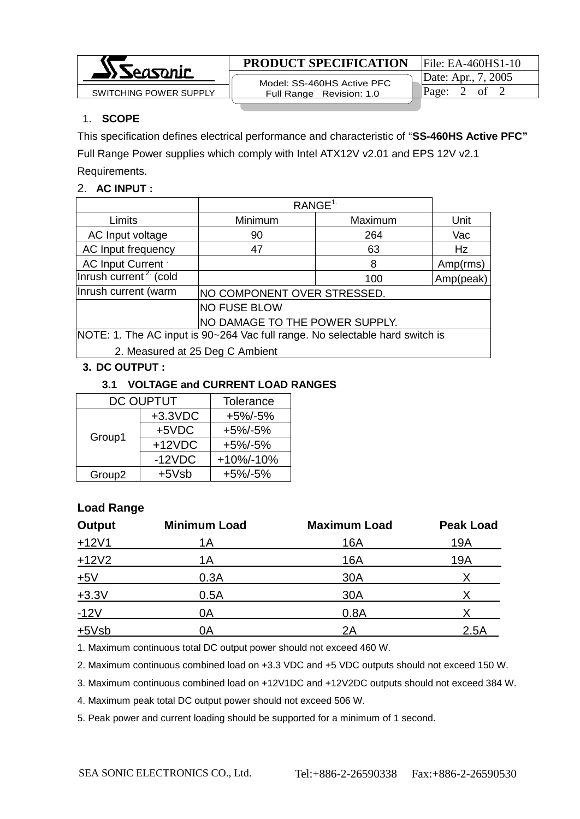

#### **PRODUCT SPECIFICATION** File: EA-460HS1-10

 Model: SS-460HS Active PFC Full Range Revision: 1.0 SWITCHING POWER SUPPLY  $\parallel$  Full Range Revision: 1.0  $\parallel$  Page: 2 of 2

# 1. **SCOPE**

This specification defines electrical performance and characteristic of "**SS-460HS Active PFC"** 

Full Range Power supplies which comply with Intel ATX12V v2.01 and EPS 12V v2.1 Requirements.

## 2. **AC INPUT :**

|                                                                              | RANGE <sup>1</sup>                 |         |           |  |
|------------------------------------------------------------------------------|------------------------------------|---------|-----------|--|
| Limits                                                                       | Minimum                            | Maximum | Unit      |  |
| AC Input voltage                                                             | 90                                 | 264     | Vac       |  |
| AC Input frequency                                                           | 47                                 | 63      | Hz        |  |
| AC Input Current                                                             |                                    | 8       | Amp(rms)  |  |
| Inrush current <sup>2</sup> (cold                                            |                                    | 100     | Amp(peak) |  |
| Inrush current (warm                                                         | <b>NO COMPONENT OVER STRESSED.</b> |         |           |  |
| NO FUSE BLOW                                                                 |                                    |         |           |  |
| NO DAMAGE TO THE POWER SUPPLY.                                               |                                    |         |           |  |
| NOTE: 1. The AC input is 90~264 Vac full range. No selectable hard switch is |                                    |         |           |  |
| 2. Measured at 25 Deg C Ambient                                              |                                    |         |           |  |

# **3. DC OUTPUT :**

## **3.1 VOLTAGE and CURRENT LOAD RANGES**

| <b>DC OUPTUT</b>   | <b>Tolerance</b> |             |
|--------------------|------------------|-------------|
|                    | $+3.3$ VDC       | $+5\%/-5\%$ |
| Group1             | $+5VDC$          | $+5\%/-5\%$ |
|                    | $+12VDC$         | $+5\%/-5\%$ |
|                    | $-12VDC$         | +10%/-10%   |
| Group <sub>2</sub> | $+5Vsb$          | $+5\%/-5\%$ |

# **Load Range**

| <b>Output</b> | <b>Minimum Load</b> | <b>Maximum Load</b> | <b>Peak Load</b> |
|---------------|---------------------|---------------------|------------------|
| $+12V1$       | 1A                  | 16A                 | 19A              |
| $+12V2$       | 1А                  | 16A                 | 19A              |
| ±5V           | 0.3A                | 30A                 |                  |
| $+3.3V$       | 0.5A                | 30A                 |                  |
| $-12V$        | 0A                  | 0.8A                |                  |
| $+5Vsb$       | 0Α                  | 2A                  | 2.5A             |

1. Maximum continuous total DC output power should not exceed 460 W.

2. Maximum continuous combined load on +3.3 VDC and +5 VDC outputs should not exceed 150 W.

3. Maximum continuous combined load on +12V1DC and +12V2DC outputs should not exceed 384 W.

4. Maximum peak total DC output power should not exceed 506 W.

5. Peak power and current loading should be supported for a minimum of 1 second.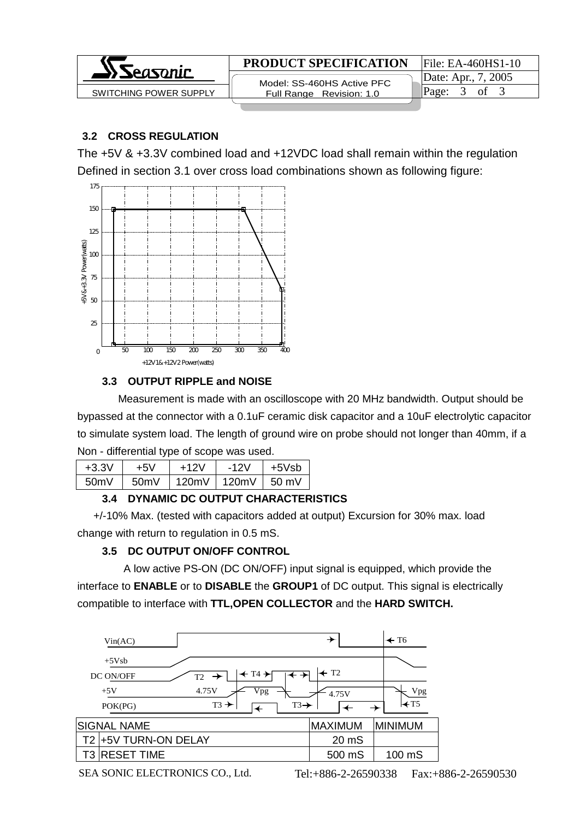

# **3.2 CROSS REGULATION**

The +5V & +3.3V combined load and +12VDC load shall remain within the regulation Defined in section 3.1 over cross load combinations shown as following figure:



# **3.3 OUTPUT RIPPLE and NOISE**

 Measurement is made with an oscilloscope with 20 MHz bandwidth. Output should be bypassed at the connector with a 0.1uF ceramic disk capacitor and a 10uF electrolytic capacitor to simulate system load. The length of ground wire on probe should not longer than 40mm, if a Non - differential type of scope was used.

| $+3.3V$ | +5V  | $+12V$ | $-12V$ | $+5Vsh$         |
|---------|------|--------|--------|-----------------|
| 50mV    | 50mV | 120mV  | 120mV  | $50 \text{ mV}$ |
|         |      |        |        |                 |

# **3.4 DYNAMIC DC OUTPUT CHARACTERISTICS**

 +/-10% Max. (tested with capacitors added at output) Excursion for 30% max. load change with return to regulation in 0.5 mS.

# **3.5 DC OUTPUT ON/OFF CONTROL**

 A low active PS-ON (DC ON/OFF) input signal is equipped, which provide the interface to **ENABLE** or to **DISABLE** the **GROUP1** of DC output. This signal is electrically compatible to interface with **TTL,OPEN COLLECTOR** and the **HARD SWITCH.**

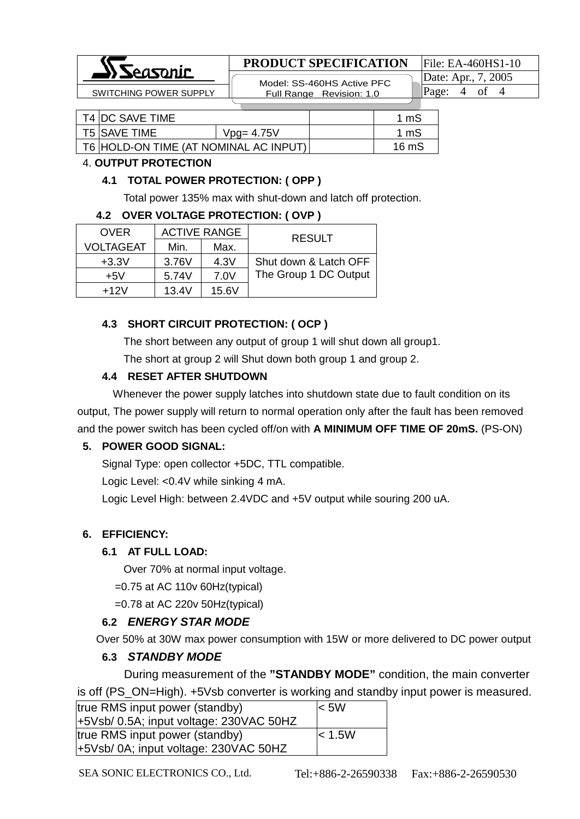

# **PRODUCT SPECIFICATION** File: EA-460HS1-10

 Model: SS-460HS Active PFC SWITCHING POWER SUPPLY **Full Range Revision: 1.0** Page: 4 of 4

Date: Apr., 7, 2005

| T4 IDC SAVE TIME                      |               | 1 mS  |
|---------------------------------------|---------------|-------|
| T5 ISAVE TIME                         | $Vpg = 4.75V$ | 1 mS  |
| T6 HOLD-ON TIME (AT NOMINAL AC INPUT) |               | 16 mS |

#### 4. **OUTPUT PROTECTION**

#### **4.1 TOTAL POWER PROTECTION: ( OPP )**

Total power 135% max with shut-down and latch off protection.

#### **4.2 OVER VOLTAGE PROTECTION: ( OVP )**

| <b>OVER</b>      | <b>ACTIVE RANGE</b> |       | <b>RESULT</b>         |
|------------------|---------------------|-------|-----------------------|
| <b>VOLTAGEAT</b> | Min.                | Max.  |                       |
| $+3.3V$          | 3.76V               | 4.3V  | Shut down & Latch OFF |
| $+5V$            | 5.74V               | 7.0V  | The Group 1 DC Output |
| $+12V$           | 13.4V               | 15.6V |                       |

## **4.3 SHORT CIRCUIT PROTECTION: ( OCP )**

The short between any output of group 1 will shut down all group1.

The short at group 2 will Shut down both group 1 and group 2.

## **4.4 RESET AFTER SHUTDOWN**

 Whenever the power supply latches into shutdown state due to fault condition on its output, The power supply will return to normal operation only after the fault has been removed and the power switch has been cycled off/on with **A MINIMUM OFF TIME OF 20mS.** (PS-ON)

## **5. POWER GOOD SIGNAL:**

Signal Type: open collector +5DC, TTL compatible.

Logic Level: <0.4V while sinking 4 mA.

Logic Level High: between 2.4VDC and +5V output while souring 200 uA.

## **6. EFFICIENCY:**

## **6.1 AT FULL LOAD:**

Over 70% at normal input voltage.

 $=0.75$  at AC 110 $v$  60Hz(typical)

=0.78 at AC 220v 50Hz(typical)

## **6.2** *ENERGY STAR MODE*

Over 50% at 30W max power consumption with 15W or more delivered to DC power output

## **6.3** *STANDBY MODE*

During measurement of the **"STANDBY MODE"** condition, the main converter is off (PS\_ON=High). +5Vsb converter is working and standby input power is measured.

| true RMS input power (standby)          | $\leq 5W$   |
|-----------------------------------------|-------------|
| +5Vsb/ 0.5A; input voltage: 230VAC 50HZ |             |
| true RMS input power (standby)          | $\leq 1.5W$ |
| +5Vsb/ 0A; input voltage: 230VAC 50HZ   |             |